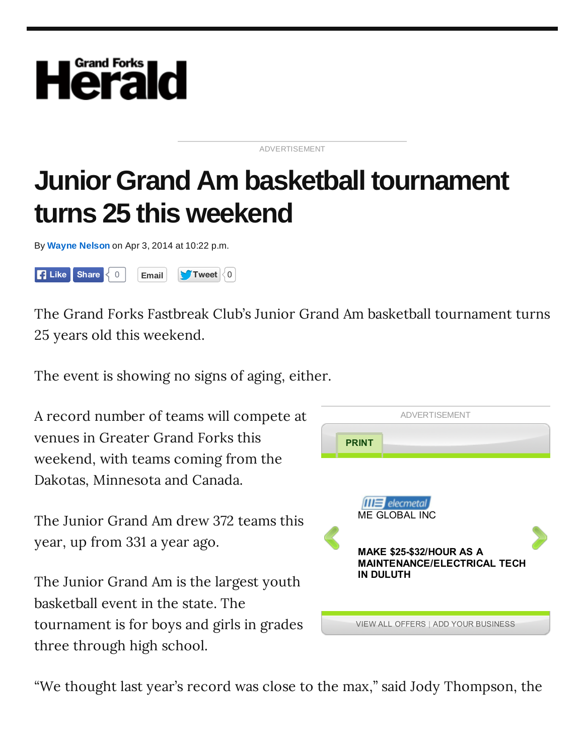

## ADVERTISEMENT

## **Junior Grand Am basketball tournament turns 25 this weekend**

By **Wayne Nelson** on Apr 3, 2014 at 10:22 p.m.



The Grand Forks Fastbreak Club's Junior Grand Am basketball tournament turns 25 years old this weekend.

The event is showing no signs of aging, either.

A record number of teams will compete at venues in Greater Grand Forks this weekend, with teams coming from the Dakotas, Minnesota and Canada.

The Junior Grand Am drew 372 teams this year, up from 331 a year ago.

The Junior Grand Am is the largest youth basketball event in the state. The tournament is for boys and girls in grades three through high school.



"We thought last year's record was close to the max," said Jody Thompson, the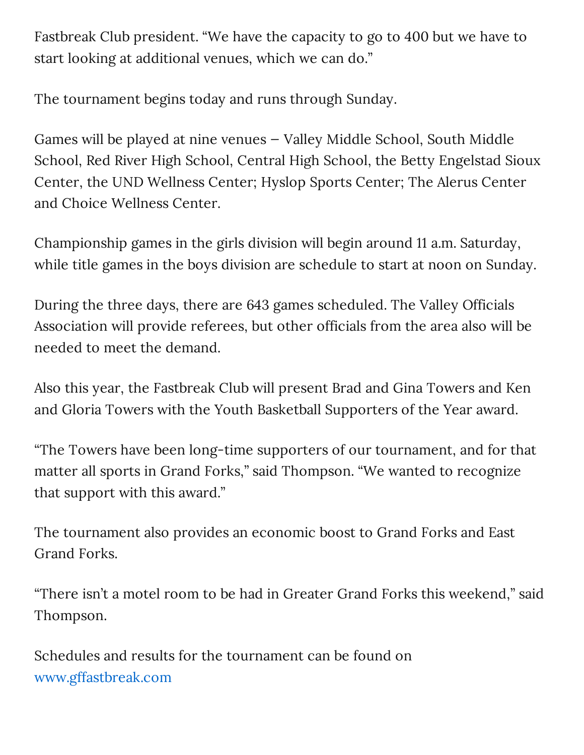Fastbreak Club president. "We have the capacity to go to 400 but we have to start looking at additional venues, which we can do."

The tournament begins today and runs through Sunday.

Games will be played at nine venues — Valley Middle School, South Middle School, Red River High School, Central High School, the Betty Engelstad Sioux Center, the UND Wellness Center; Hyslop Sports Center; The Alerus Center and Choice Wellness Center.

Championship games in the girls division will begin around 11 a.m. Saturday, while title games in the boys division are schedule to start at noon on Sunday.

During the three days, there are 643 games scheduled. The Valley Officials Association will provide referees, but other officials from the area also will be needed to meet the demand.

Also this year, the Fastbreak Club will present Brad and Gina Towers and Ken and Gloria Towers with the Youth Basketball Supporters of the Year award.

"The Towers have been long-time supporters of our tournament, and for that matter all sports in Grand Forks," said Thompson. "We wanted to recognize that support with this award."

The tournament also provides an economic boost to Grand Forks and East Grand Forks.

"There isn't a motel room to be had in Greater Grand Forks this weekend," said Thompson.

Schedules and results for the tournament can be found on www.gffastbreak.com